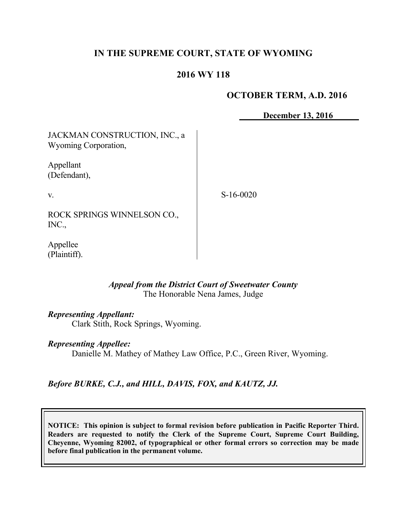# **IN THE SUPREME COURT, STATE OF WYOMING**

## **2016 WY 118**

### **OCTOBER TERM, A.D. 2016**

**December 13, 2016**

JACKMAN CONSTRUCTION, INC., a Wyoming Corporation,

Appellant (Defendant),

v.

S-16-0020

ROCK SPRINGS WINNELSON CO., INC.,

Appellee (Plaintiff).

### *Appeal from the District Court of Sweetwater County* The Honorable Nena James, Judge

#### *Representing Appellant:*

Clark Stith, Rock Springs, Wyoming.

#### *Representing Appellee:*

Danielle M. Mathey of Mathey Law Office, P.C., Green River, Wyoming.

# *Before BURKE, C.J., and HILL, DAVIS, FOX, and KAUTZ, JJ.*

**NOTICE: This opinion is subject to formal revision before publication in Pacific Reporter Third. Readers are requested to notify the Clerk of the Supreme Court, Supreme Court Building, Cheyenne, Wyoming 82002, of typographical or other formal errors so correction may be made before final publication in the permanent volume.**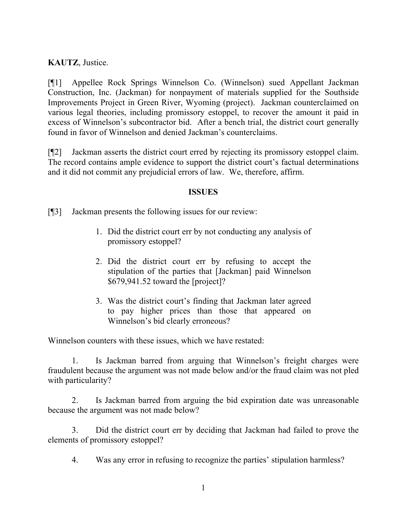**KAUTZ**, Justice.

[¶1] Appellee Rock Springs Winnelson Co. (Winnelson) sued Appellant Jackman Construction, Inc. (Jackman) for nonpayment of materials supplied for the Southside Improvements Project in Green River, Wyoming (project). Jackman counterclaimed on various legal theories, including promissory estoppel, to recover the amount it paid in excess of Winnelson's subcontractor bid. After a bench trial, the district court generally found in favor of Winnelson and denied Jackman's counterclaims.

[¶2] Jackman asserts the district court erred by rejecting its promissory estoppel claim. The record contains ample evidence to support the district court's factual determinations and it did not commit any prejudicial errors of law. We, therefore, affirm.

### **ISSUES**

[¶3] Jackman presents the following issues for our review:

- 1. Did the district court err by not conducting any analysis of promissory estoppel?
- 2. Did the district court err by refusing to accept the stipulation of the parties that [Jackman] paid Winnelson \$679,941.52 toward the [project]?
- 3. Was the district court's finding that Jackman later agreed to pay higher prices than those that appeared on Winnelson's bid clearly erroneous?

Winnelson counters with these issues, which we have restated:

1. Is Jackman barred from arguing that Winnelson's freight charges were fraudulent because the argument was not made below and/or the fraud claim was not pled with particularity?

2. Is Jackman barred from arguing the bid expiration date was unreasonable because the argument was not made below?

3. Did the district court err by deciding that Jackman had failed to prove the elements of promissory estoppel?

4. Was any error in refusing to recognize the parties' stipulation harmless?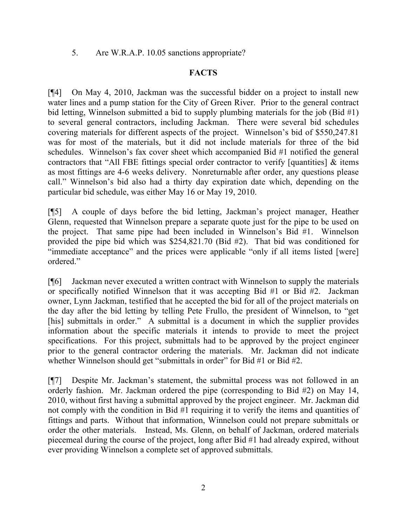5. Are W.R.A.P. 10.05 sanctions appropriate?

## **FACTS**

[¶4] On May 4, 2010, Jackman was the successful bidder on a project to install new water lines and a pump station for the City of Green River. Prior to the general contract bid letting, Winnelson submitted a bid to supply plumbing materials for the job (Bid #1) to several general contractors, including Jackman. There were several bid schedules covering materials for different aspects of the project. Winnelson's bid of \$550,247.81 was for most of the materials, but it did not include materials for three of the bid schedules. Winnelson's fax cover sheet which accompanied Bid #1 notified the general contractors that "All FBE fittings special order contractor to verify [quantities] & items as most fittings are 4-6 weeks delivery. Nonreturnable after order, any questions please call." Winnelson's bid also had a thirty day expiration date which, depending on the particular bid schedule, was either May 16 or May 19, 2010.

[¶5] A couple of days before the bid letting, Jackman's project manager, Heather Glenn, requested that Winnelson prepare a separate quote just for the pipe to be used on the project. That same pipe had been included in Winnelson's Bid #1. Winnelson provided the pipe bid which was \$254,821.70 (Bid #2). That bid was conditioned for "immediate acceptance" and the prices were applicable "only if all items listed [were] ordered."

[¶6] Jackman never executed a written contract with Winnelson to supply the materials or specifically notified Winnelson that it was accepting Bid #1 or Bid #2. Jackman owner, Lynn Jackman, testified that he accepted the bid for all of the project materials on the day after the bid letting by telling Pete Frullo, the president of Winnelson, to "get [his] submittals in order." A submittal is a document in which the supplier provides information about the specific materials it intends to provide to meet the project specifications. For this project, submittals had to be approved by the project engineer prior to the general contractor ordering the materials. Mr. Jackman did not indicate whether Winnelson should get "submittals in order" for Bid #1 or Bid #2.

[¶7] Despite Mr. Jackman's statement, the submittal process was not followed in an orderly fashion. Mr. Jackman ordered the pipe (corresponding to Bid #2) on May 14, 2010, without first having a submittal approved by the project engineer. Mr. Jackman did not comply with the condition in Bid #1 requiring it to verify the items and quantities of fittings and parts. Without that information, Winnelson could not prepare submittals or order the other materials. Instead, Ms. Glenn, on behalf of Jackman, ordered materials piecemeal during the course of the project, long after Bid #1 had already expired, without ever providing Winnelson a complete set of approved submittals.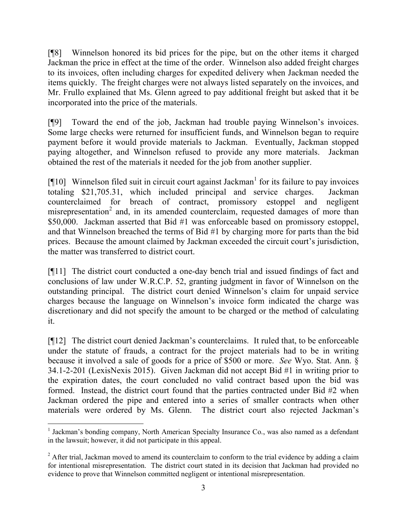[¶8] Winnelson honored its bid prices for the pipe, but on the other items it charged Jackman the price in effect at the time of the order. Winnelson also added freight charges to its invoices, often including charges for expedited delivery when Jackman needed the items quickly. The freight charges were not always listed separately on the invoices, and Mr. Frullo explained that Ms. Glenn agreed to pay additional freight but asked that it be incorporated into the price of the materials.

[¶9] Toward the end of the job, Jackman had trouble paying Winnelson's invoices. Some large checks were returned for insufficient funds, and Winnelson began to require payment before it would provide materials to Jackman. Eventually, Jackman stopped paying altogether, and Winnelson refused to provide any more materials. Jackman obtained the rest of the materials it needed for the job from another supplier.

 $\llbracket \P{10} \rrbracket$  Winnelson filed suit in circuit court against Jackman<sup>1</sup> for its failure to pay invoices totaling \$21,705.31, which included principal and service charges. Jackman counterclaimed for breach of contract, promissory estoppel and negligent misrepresentation<sup>2</sup> and, in its amended counterclaim, requested damages of more than \$50,000. Jackman asserted that Bid #1 was enforceable based on promissory estoppel, and that Winnelson breached the terms of Bid #1 by charging more for parts than the bid prices. Because the amount claimed by Jackman exceeded the circuit court's jurisdiction, the matter was transferred to district court.

[¶11] The district court conducted a one-day bench trial and issued findings of fact and conclusions of law under W.R.C.P. 52, granting judgment in favor of Winnelson on the outstanding principal. The district court denied Winnelson's claim for unpaid service charges because the language on Winnelson's invoice form indicated the charge was discretionary and did not specify the amount to be charged or the method of calculating it.

[¶12] The district court denied Jackman's counterclaims. It ruled that, to be enforceable under the statute of frauds, a contract for the project materials had to be in writing because it involved a sale of goods for a price of \$500 or more. *See* Wyo. Stat. Ann. § 34.1-2-201 (LexisNexis 2015). Given Jackman did not accept Bid #1 in writing prior to the expiration dates, the court concluded no valid contract based upon the bid was formed. Instead, the district court found that the parties contracted under Bid #2 when Jackman ordered the pipe and entered into a series of smaller contracts when other materials were ordered by Ms. Glenn. The district court also rejected Jackman's

 <sup>1</sup> Jackman's bonding company, North American Specialty Insurance Co., was also named as a defendant in the lawsuit; however, it did not participate in this appeal.

<sup>&</sup>lt;sup>2</sup> After trial, Jackman moved to amend its counterclaim to conform to the trial evidence by adding a claim for intentional misrepresentation. The district court stated in its decision that Jackman had provided no evidence to prove that Winnelson committed negligent or intentional misrepresentation.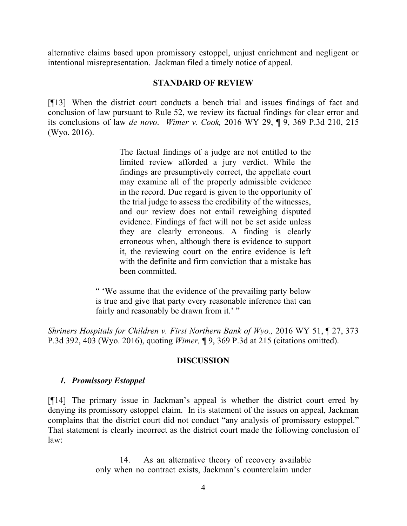alternative claims based upon promissory estoppel, unjust enrichment and negligent or intentional misrepresentation. Jackman filed a timely notice of appeal.

#### **STANDARD OF REVIEW**

[¶13] When the district court conducts a bench trial and issues findings of fact and conclusion of law pursuant to Rule 52, we review its factual findings for clear error and its conclusions of law *de novo*. *Wimer v. Cook,* 2016 WY 29, ¶ 9, 369 P.3d 210, 215 (Wyo. 2016).

> The factual findings of a judge are not entitled to the limited review afforded a jury verdict. While the findings are presumptively correct, the appellate court may examine all of the properly admissible evidence in the record. Due regard is given to the opportunity of the trial judge to assess the credibility of the witnesses, and our review does not entail reweighing disputed evidence. Findings of fact will not be set aside unless they are clearly erroneous. A finding is clearly erroneous when, although there is evidence to support it, the reviewing court on the entire evidence is left with the definite and firm conviction that a mistake has been committed.

" 'We assume that the evidence of the prevailing party below is true and give that party every reasonable inference that can fairly and reasonably be drawn from it.'"

*Shriners Hospitals for Children v. First Northern Bank of Wyo.,* 2016 WY 51, ¶ 27, 373 P.3d 392, 403 (Wyo. 2016), quoting *Wimer,* ¶ 9, 369 P.3d at 215 (citations omitted).

## **DISCUSSION**

## *1. Promissory Estoppel*

[¶14] The primary issue in Jackman's appeal is whether the district court erred by denying its promissory estoppel claim. In its statement of the issues on appeal, Jackman complains that the district court did not conduct "any analysis of promissory estoppel." That statement is clearly incorrect as the district court made the following conclusion of law:

> 14. As an alternative theory of recovery available only when no contract exists, Jackman's counterclaim under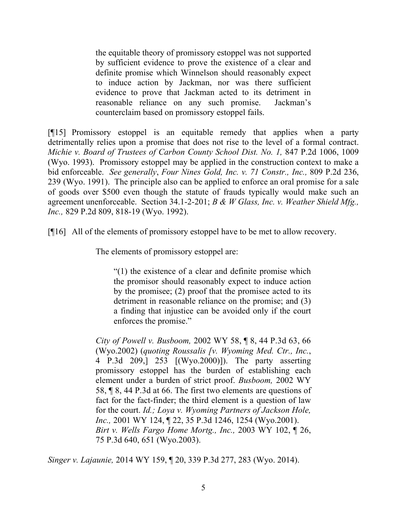the equitable theory of promissory estoppel was not supported by sufficient evidence to prove the existence of a clear and definite promise which Winnelson should reasonably expect to induce action by Jackman, nor was there sufficient evidence to prove that Jackman acted to its detriment in reasonable reliance on any such promise. Jackman's counterclaim based on promissory estoppel fails.

[¶15] Promissory estoppel is an equitable remedy that applies when a party detrimentally relies upon a promise that does not rise to the level of a formal contract. *Michie v. Board of Trustees of Carbon County School Dist. No. 1,* 847 P.2d 1006, 1009 (Wyo. 1993). Promissory estoppel may be applied in the construction context to make a bid enforceable. *See generally*, *Four Nines Gold, Inc. v. 71 Constr., Inc.,* 809 P.2d 236, 239 (Wyo. 1991). The principle also can be applied to enforce an oral promise for a sale of goods over \$500 even though the statute of frauds typically would make such an agreement unenforceable. Section 34.1-2-201; *B & W Glass, Inc. v. Weather Shield Mfg., Inc.,* 829 P.2d 809, 818-19 (Wyo. 1992).

[¶16] All of the elements of promissory estoppel have to be met to allow recovery.

The elements of promissory estoppel are:

"(1) the existence of a clear and definite promise which the promisor should reasonably expect to induce action by the promisee; (2) proof that the promisee acted to its detriment in reasonable reliance on the promise; and (3) a finding that injustice can be avoided only if the court enforces the promise."

*City of Powell v. Busboom,* 2002 WY 58, ¶ 8, 44 P.3d 63, 66 (Wyo.2002) (*quoting Roussalis [v. Wyoming Med. Ctr., Inc.*, 4 P.3d 209,] 253 [(Wyo.2000)]). The party asserting promissory estoppel has the burden of establishing each element under a burden of strict proof. *Busboom,* 2002 WY 58, ¶ 8, 44 P.3d at 66. The first two elements are questions of fact for the fact-finder; the third element is a question of law for the court. *Id.; Loya v. Wyoming Partners of Jackson Hole, Inc.,* 2001 WY 124, ¶ 22, 35 P.3d 1246, 1254 (Wyo.2001). *Birt v. Wells Fargo Home Mortg., Inc.,* 2003 WY 102, ¶ 26, 75 P.3d 640, 651 (Wyo.2003).

*Singer v. Lajaunie,* 2014 WY 159, ¶ 20, 339 P.3d 277, 283 (Wyo. 2014).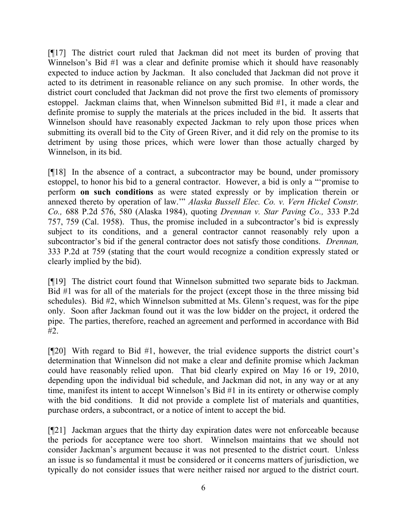[¶17] The district court ruled that Jackman did not meet its burden of proving that Winnelson's Bid #1 was a clear and definite promise which it should have reasonably expected to induce action by Jackman. It also concluded that Jackman did not prove it acted to its detriment in reasonable reliance on any such promise. In other words, the district court concluded that Jackman did not prove the first two elements of promissory estoppel. Jackman claims that, when Winnelson submitted Bid #1, it made a clear and definite promise to supply the materials at the prices included in the bid. It asserts that Winnelson should have reasonably expected Jackman to rely upon those prices when submitting its overall bid to the City of Green River, and it did rely on the promise to its detriment by using those prices, which were lower than those actually charged by Winnelson, in its bid.

[¶18] In the absence of a contract, a subcontractor may be bound, under promissory estoppel, to honor his bid to a general contractor. However, a bid is only a "'promise to perform **on such conditions** as were stated expressly or by implication therein or annexed thereto by operation of law.'" *Alaska Bussell Elec. Co. v. Vern Hickel Constr. Co.,* 688 P.2d 576, 580 (Alaska 1984), quoting *Drennan v. Star Paving Co.,* 333 P.2d 757, 759 (Cal. 1958). Thus, the promise included in a subcontractor's bid is expressly subject to its conditions, and a general contractor cannot reasonably rely upon a subcontractor's bid if the general contractor does not satisfy those conditions. *Drennan,*  333 P.2d at 759 (stating that the court would recognize a condition expressly stated or clearly implied by the bid).

[¶19] The district court found that Winnelson submitted two separate bids to Jackman. Bid #1 was for all of the materials for the project (except those in the three missing bid schedules). Bid #2, which Winnelson submitted at Ms. Glenn's request, was for the pipe only. Soon after Jackman found out it was the low bidder on the project, it ordered the pipe. The parties, therefore, reached an agreement and performed in accordance with Bid #2.

[¶20] With regard to Bid #1, however, the trial evidence supports the district court's determination that Winnelson did not make a clear and definite promise which Jackman could have reasonably relied upon. That bid clearly expired on May 16 or 19, 2010, depending upon the individual bid schedule, and Jackman did not, in any way or at any time, manifest its intent to accept Winnelson's Bid #1 in its entirety or otherwise comply with the bid conditions. It did not provide a complete list of materials and quantities, purchase orders, a subcontract, or a notice of intent to accept the bid.

[¶21] Jackman argues that the thirty day expiration dates were not enforceable because the periods for acceptance were too short. Winnelson maintains that we should not consider Jackman's argument because it was not presented to the district court. Unless an issue is so fundamental it must be considered or it concerns matters of jurisdiction, we typically do not consider issues that were neither raised nor argued to the district court.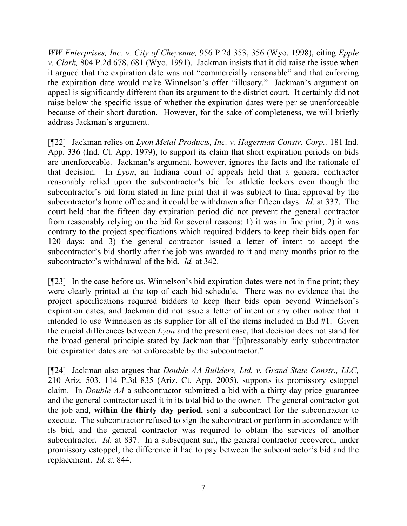*WW Enterprises, Inc. v. City of Cheyenne,* 956 P.2d 353, 356 (Wyo. 1998), citing *Epple v. Clark,* 804 P.2d 678, 681 (Wyo. 1991). Jackman insists that it did raise the issue when it argued that the expiration date was not "commercially reasonable" and that enforcing the expiration date would make Winnelson's offer "illusory." Jackman's argument on appeal is significantly different than its argument to the district court. It certainly did not raise below the specific issue of whether the expiration dates were per se unenforceable because of their short duration. However, for the sake of completeness, we will briefly address Jackman's argument.

[¶22] Jackman relies on *Lyon Metal Products, Inc. v. Hagerman Constr. Corp.,* 181 Ind. App. 336 (Ind. Ct. App. 1979), to support its claim that short expiration periods on bids are unenforceable. Jackman's argument, however, ignores the facts and the rationale of that decision. In *Lyon*, an Indiana court of appeals held that a general contractor reasonably relied upon the subcontractor's bid for athletic lockers even though the subcontractor's bid form stated in fine print that it was subject to final approval by the subcontractor's home office and it could be withdrawn after fifteen days. *Id.* at 337. The court held that the fifteen day expiration period did not prevent the general contractor from reasonably relying on the bid for several reasons: 1) it was in fine print; 2) it was contrary to the project specifications which required bidders to keep their bids open for 120 days; and 3) the general contractor issued a letter of intent to accept the subcontractor's bid shortly after the job was awarded to it and many months prior to the subcontractor's withdrawal of the bid. *Id.* at 342.

[¶23] In the case before us, Winnelson's bid expiration dates were not in fine print; they were clearly printed at the top of each bid schedule. There was no evidence that the project specifications required bidders to keep their bids open beyond Winnelson's expiration dates, and Jackman did not issue a letter of intent or any other notice that it intended to use Winnelson as its supplier for all of the items included in Bid #1. Given the crucial differences between *Lyon* and the present case, that decision does not stand for the broad general principle stated by Jackman that "[u]nreasonably early subcontractor bid expiration dates are not enforceable by the subcontractor."

[¶24] Jackman also argues that *Double AA Builders, Ltd. v. Grand State Constr., LLC,*  210 Ariz. 503, 114 P.3d 835 (Ariz. Ct. App. 2005), supports its promissory estoppel claim. In *Double AA* a subcontractor submitted a bid with a thirty day price guarantee and the general contractor used it in its total bid to the owner. The general contractor got the job and, **within the thirty day period**, sent a subcontract for the subcontractor to execute. The subcontractor refused to sign the subcontract or perform in accordance with its bid, and the general contractor was required to obtain the services of another subcontractor. *Id.* at 837. In a subsequent suit, the general contractor recovered, under promissory estoppel, the difference it had to pay between the subcontractor's bid and the replacement. *Id.* at 844.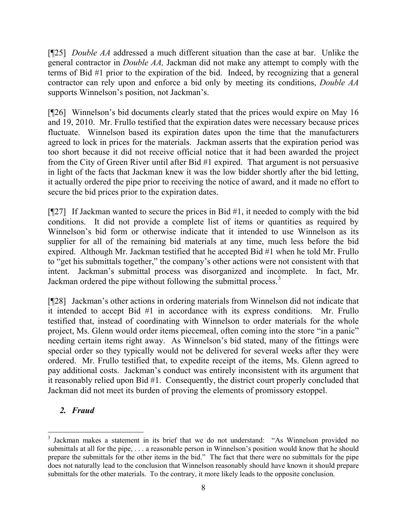[¶25] *Double AA* addressed a much different situation than the case at bar. Unlike the general contractor in *Double AA,* Jackman did not make any attempt to comply with the terms of Bid #1 prior to the expiration of the bid. Indeed, by recognizing that a general contractor can rely upon and enforce a bid only by meeting its conditions, *Double AA*  supports Winnelson's position, not Jackman's.

[¶26] Winnelson's bid documents clearly stated that the prices would expire on May 16 and 19, 2010. Mr. Frullo testified that the expiration dates were necessary because prices fluctuate. Winnelson based its expiration dates upon the time that the manufacturers agreed to lock in prices for the materials. Jackman asserts that the expiration period was too short because it did not receive official notice that it had been awarded the project from the City of Green River until after Bid #1 expired. That argument is not persuasive in light of the facts that Jackman knew it was the low bidder shortly after the bid letting, it actually ordered the pipe prior to receiving the notice of award, and it made no effort to secure the bid prices prior to the expiration dates.

 $[927]$  If Jackman wanted to secure the prices in Bid #1, it needed to comply with the bid conditions. It did not provide a complete list of items or quantities as required by Winnelson's bid form or otherwise indicate that it intended to use Winnelson as its supplier for all of the remaining bid materials at any time, much less before the bid expired. Although Mr. Jackman testified that he accepted Bid #1 when he told Mr. Frullo to "get his submittals together," the company's other actions were not consistent with that intent. Jackman's submittal process was disorganized and incomplete. In fact, Mr. Jackman ordered the pipe without following the submittal process.<sup>3</sup>

[¶28] Jackman's other actions in ordering materials from Winnelson did not indicate that it intended to accept Bid #1 in accordance with its express conditions. Mr. Frullo testified that, instead of coordinating with Winnelson to order materials for the whole project, Ms. Glenn would order items piecemeal, often coming into the store "in a panic" needing certain items right away. As Winnelson's bid stated, many of the fittings were special order so they typically would not be delivered for several weeks after they were ordered. Mr. Frullo testified that, to expedite receipt of the items, Ms. Glenn agreed to pay additional costs. Jackman's conduct was entirely inconsistent with its argument that it reasonably relied upon Bid #1. Consequently, the district court properly concluded that Jackman did not meet its burden of proving the elements of promissory estoppel.

## *2. Fraud*

 $\overline{a}$ 

<sup>&</sup>lt;sup>3</sup> Jackman makes a statement in its brief that we do not understand: "As Winnelson provided no submittals at all for the pipe, . . . a reasonable person in Winnelson's position would know that he should prepare the submittals for the other items in the bid." The fact that there were no submittals for the pipe does not naturally lead to the conclusion that Winnelson reasonably should have known it should prepare submittals for the other materials. To the contrary, it more likely leads to the opposite conclusion.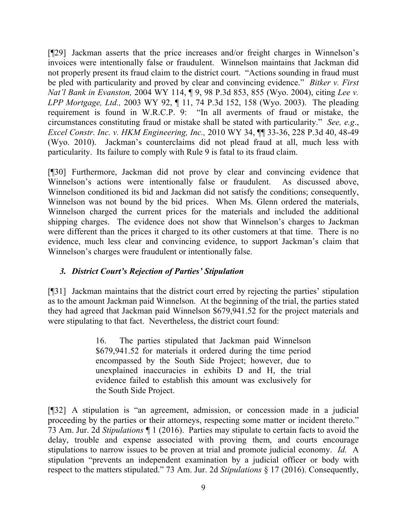[¶29] Jackman asserts that the price increases and/or freight charges in Winnelson's invoices were intentionally false or fraudulent. Winnelson maintains that Jackman did not properly present its fraud claim to the district court. "Actions sounding in fraud must be pled with particularity and proved by clear and convincing evidence." *Bitker v. First Nat'l Bank in Evanston,* 2004 WY 114, ¶ 9, 98 P.3d 853, 855 (Wyo. 2004), citing *Lee v. LPP Mortgage, Ltd.,* 2003 WY 92, ¶ 11, 74 P.3d 152, 158 (Wyo. 2003). The pleading requirement is found in W.R.C.P. 9: "In all averments of fraud or mistake, the circumstances constituting fraud or mistake shall be stated with particularity." *See, e.g*., *Excel Constr. Inc. v. HKM Engineering, Inc.,* 2010 WY 34, ¶¶ 33-36, 228 P.3d 40, 48-49 (Wyo. 2010). Jackman's counterclaims did not plead fraud at all, much less with particularity. Its failure to comply with Rule 9 is fatal to its fraud claim.

[¶30] Furthermore, Jackman did not prove by clear and convincing evidence that Winnelson's actions were intentionally false or fraudulent. As discussed above, Winnelson conditioned its bid and Jackman did not satisfy the conditions; consequently, Winnelson was not bound by the bid prices. When Ms. Glenn ordered the materials, Winnelson charged the current prices for the materials and included the additional shipping charges. The evidence does not show that Winnelson's charges to Jackman were different than the prices it charged to its other customers at that time. There is no evidence, much less clear and convincing evidence, to support Jackman's claim that Winnelson's charges were fraudulent or intentionally false.

## *3. District Court's Rejection of Parties' Stipulation*

[¶31] Jackman maintains that the district court erred by rejecting the parties' stipulation as to the amount Jackman paid Winnelson. At the beginning of the trial, the parties stated they had agreed that Jackman paid Winnelson \$679,941.52 for the project materials and were stipulating to that fact. Nevertheless, the district court found:

> 16. The parties stipulated that Jackman paid Winnelson \$679,941.52 for materials it ordered during the time period encompassed by the South Side Project; however, due to unexplained inaccuracies in exhibits D and H, the trial evidence failed to establish this amount was exclusively for the South Side Project.

[¶32] A stipulation is "an agreement, admission, or concession made in a judicial proceeding by the parties or their attorneys, respecting some matter or incident thereto." 73 Am. Jur. 2d *Stipulations* ¶ 1 (2016). Parties may stipulate to certain facts to avoid the delay, trouble and expense associated with proving them, and courts encourage stipulations to narrow issues to be proven at trial and promote judicial economy. *Id.* A stipulation "prevents an independent examination by a judicial officer or body with respect to the matters stipulated." 73 Am. Jur. 2d *Stipulations* § 17 (2016). Consequently,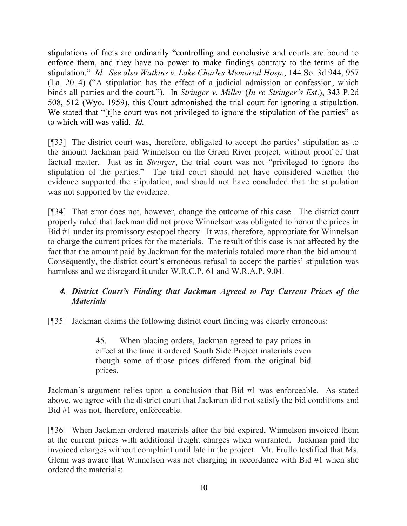stipulations of facts are ordinarily "controlling and conclusive and courts are bound to enforce them, and they have no power to make findings contrary to the terms of the stipulation." *Id. See also Watkins v. Lake Charles Memorial Hosp*., 144 So. 3d 944, 957 (La. 2014) ("A stipulation has the effect of a judicial admission or confession, which binds all parties and the court."). In *Stringer v. Miller* (*In re Stringer's Est*.), 343 P.2d 508, 512 (Wyo. 1959), this Court admonished the trial court for ignoring a stipulation. We stated that "[t]he court was not privileged to ignore the stipulation of the parties" as to which will was valid. *Id.* 

[¶33] The district court was, therefore, obligated to accept the parties' stipulation as to the amount Jackman paid Winnelson on the Green River project, without proof of that factual matter. Just as in *Stringer*, the trial court was not "privileged to ignore the stipulation of the parties." The trial court should not have considered whether the evidence supported the stipulation, and should not have concluded that the stipulation was not supported by the evidence.

[¶34] That error does not, however, change the outcome of this case. The district court properly ruled that Jackman did not prove Winnelson was obligated to honor the prices in Bid #1 under its promissory estoppel theory. It was, therefore, appropriate for Winnelson to charge the current prices for the materials. The result of this case is not affected by the fact that the amount paid by Jackman for the materials totaled more than the bid amount. Consequently, the district court's erroneous refusal to accept the parties' stipulation was harmless and we disregard it under W.R.C.P. 61 and W.R.A.P. 9.04.

# *4. District Court's Finding that Jackman Agreed to Pay Current Prices of the Materials*

[¶35] Jackman claims the following district court finding was clearly erroneous:

45. When placing orders, Jackman agreed to pay prices in effect at the time it ordered South Side Project materials even though some of those prices differed from the original bid prices.

Jackman's argument relies upon a conclusion that Bid #1 was enforceable. As stated above, we agree with the district court that Jackman did not satisfy the bid conditions and Bid #1 was not, therefore, enforceable.

[¶36] When Jackman ordered materials after the bid expired, Winnelson invoiced them at the current prices with additional freight charges when warranted. Jackman paid the invoiced charges without complaint until late in the project. Mr. Frullo testified that Ms. Glenn was aware that Winnelson was not charging in accordance with Bid #1 when she ordered the materials: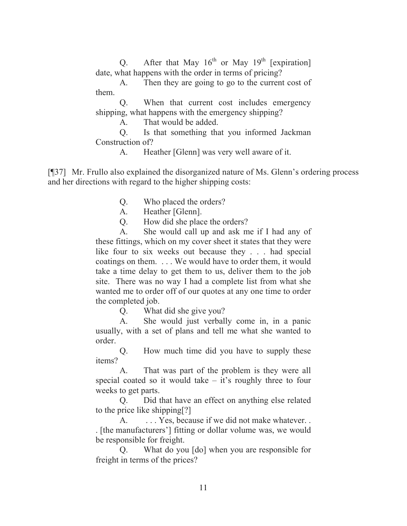Q. After that May  $16^{th}$  or May  $19^{th}$  [expiration] date, what happens with the order in terms of pricing?

A. Then they are going to go to the current cost of them.

Q. When that current cost includes emergency shipping, what happens with the emergency shipping?

A. That would be added.

Q. Is that something that you informed Jackman Construction of?

A. Heather [Glenn] was very well aware of it.

[¶37] Mr. Frullo also explained the disorganized nature of Ms. Glenn's ordering process and her directions with regard to the higher shipping costs:

- Q. Who placed the orders?
- A. Heather [Glenn].

Q. How did she place the orders?

A. She would call up and ask me if I had any of these fittings, which on my cover sheet it states that they were like four to six weeks out because they . . . had special coatings on them. . . . We would have to order them, it would take a time delay to get them to us, deliver them to the job site. There was no way I had a complete list from what she wanted me to order off of our quotes at any one time to order the completed job.

Q. What did she give you?

A. She would just verbally come in, in a panic usually, with a set of plans and tell me what she wanted to order.

Q. How much time did you have to supply these items?

A. That was part of the problem is they were all special coated so it would take  $-$  it's roughly three to four weeks to get parts.

Q. Did that have an effect on anything else related to the price like shipping[?]

A.  $\ldots$  Yes, because if we did not make whatever. . [the manufacturers'] fitting or dollar volume was, we would be responsible for freight.

Q. What do you [do] when you are responsible for freight in terms of the prices?